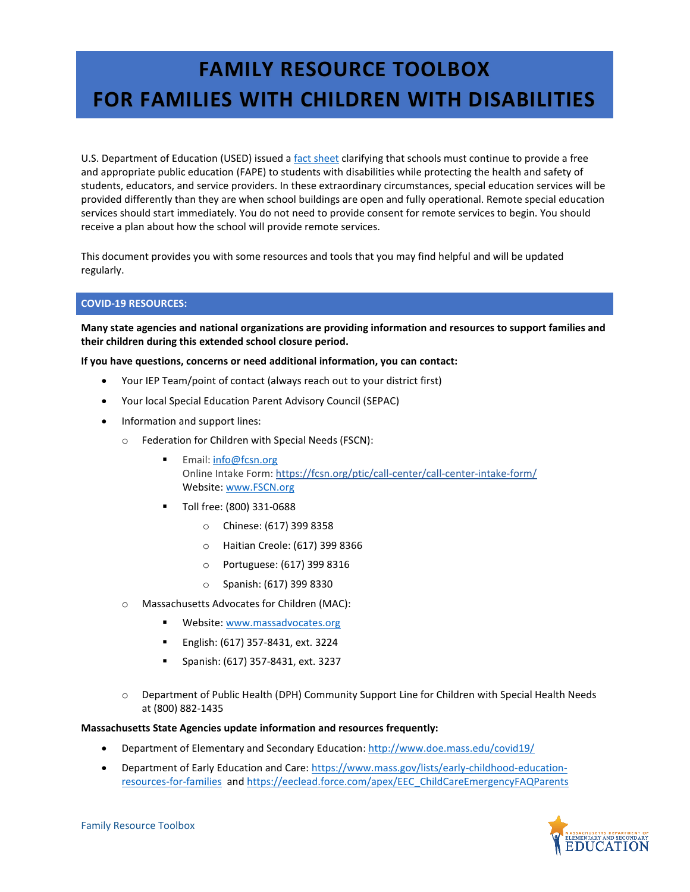# **FAMILY RESOURCE TOOLBOX FOR FAMILIES WITH CHILDREN WITH DISABILITIES**

U.S. Department of Education (USED) issued a [fact sheet](https://www2.ed.gov/about/offices/list/ocr/frontpage/faq/rr/policyguidance/Supple%20Fact%20Sheet%203.21.20%20FINAL.pdf) clarifying that schools must continue to provide a free and appropriate public education (FAPE) to students with disabilities while protecting the health and safety of students, educators, and service providers. In these extraordinary circumstances, special education services will be provided differently than they are when school buildings are open and fully operational. Remote special education services should start immediately. You do not need to provide consent for remote services to begin. You should receive a plan about how the school will provide remote services.

This document provides you with some resources and tools that you may find helpful and will be updated regularly.

## **COVID-19 RESOURCES:**

**Many state agencies and national organizations are providing information and resources to support families and their children during this extended school closure period.**

**If you have questions, concerns or need additional information, you can contact:** 

- Your IEP Team/point of contact (always reach out to your district first)
- Your local Special Education Parent Advisory Council (SEPAC)
- Information and support lines:
	- o Federation for Children with Special Needs (FSCN):
		- Email: [info@fcsn.org](mailto:info@fcsn.org) Online Intake Form: <https://fcsn.org/ptic/call-center/call-center-intake-form/> Website[: www.FSCN.org](http://www.fscn.org/)
		- Toll free: (800) 331-0688
			- o Chinese: (617) 399 8358
			- o Haitian Creole: (617) 399 8366
			- o Portuguese: (617) 399 8316
			- o Spanish: (617) 399 8330
	- o Massachusetts Advocates for Children (MAC):
		- **Website:** www.massadvocates.org
		- English: (617) 357-8431, ext. 3224
		- Spanish: (617) 357-8431, ext. 3237
	- o Department of Public Health (DPH) Community Support Line for Children with Special Health Needs at (800) 882-1435

#### **Massachusetts State Agencies update information and resources frequently:**

- **•** Department of Elementary and Secondary Education:<http://www.doe.mass.edu/covid19/>
- Department of Early Education and Care[: https://www.mass.gov/lists/early-childhood-education](https://www.mass.gov/lists/early-childhood-education-resources-for-families)[resources-for-families](https://www.mass.gov/lists/early-childhood-education-resources-for-families) and [https://eeclead.force.com/apex/EEC\\_ChildCareEmergencyFAQParents](https://eeclead.force.com/apex/EEC_ChildCareEmergencyFAQParents)

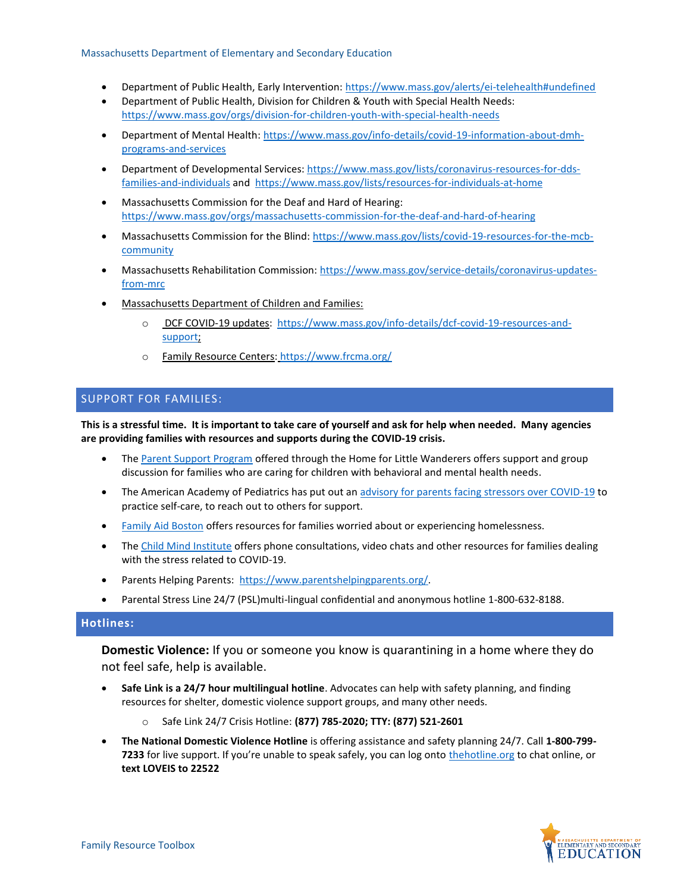#### Massachusetts Department of Elementary and Secondary Education

- Department of Public Health, Early Intervention[: https://www.mass.gov/alerts/ei-telehealth#undefined](https://www.mass.gov/alerts/ei-telehealth#undefined)
- Department of Public Health, Division for Children & Youth with Special Health Needs: <https://www.mass.gov/orgs/division-for-children-youth-with-special-health-needs>
- Department of Mental Health[: https://www.mass.gov/info-details/covid-19-information-about-dmh](https://www.mass.gov/info-details/covid-19-information-about-dmh-programs-and-services)[programs-and-services](https://www.mass.gov/info-details/covid-19-information-about-dmh-programs-and-services)
- Department of Developmental Services[: https://www.mass.gov/lists/coronavirus-resources-for-dds](https://www.mass.gov/lists/coronavirus-resources-for-dds-families-and-individuals)[families-and-individuals](https://www.mass.gov/lists/coronavirus-resources-for-dds-families-and-individuals) and<https://www.mass.gov/lists/resources-for-individuals-at-home>
- Massachusetts Commission for the Deaf and Hard of Hearing: <https://www.mass.gov/orgs/massachusetts-commission-for-the-deaf-and-hard-of-hearing>
- Massachusetts Commission for the Blind[: https://www.mass.gov/lists/covid-19-resources-for-the-mcb](https://www.mass.gov/lists/covid-19-resources-for-the-mcb-community)[community](https://www.mass.gov/lists/covid-19-resources-for-the-mcb-community)
- Massachusetts Rehabilitation Commission: [https://www.mass.gov/service-details/coronavirus-updates](https://www.mass.gov/service-details/coronavirus-updates-from-mrc)[from-mrc](https://www.mass.gov/service-details/coronavirus-updates-from-mrc)
- Massachusetts Department of Children and Families:
	- DCF COVID-19 updates: [https://www.mass.gov/info-details/dcf-covid-19-resources-and](https://www.mass.gov/info-details/dcf-covid-19-resources-and-support)[support;](https://www.mass.gov/info-details/dcf-covid-19-resources-and-support)
	- o Family Resource Centers: <https://www.frcma.org/>

## SUPPORT FOR FAMILIES:

**This is a stressful time. It is important to take care of yourself and ask for help when needed. Many agencies are providing families with resources and supports during the COVID-19 crisis.**

- Th[e Parent Support Program](http://www.thehome.org/site/PageNavigator/ParentSupportProgram.html) offered through the Home for Little Wanderers offers support and group discussion for families who are caring for children with behavioral and mental health needs.
- The American Academy of Pediatrics has put out a[n advisory for parents facing stressors over COVID-19](https://www.aap.org/en-us/about-the-aap/aap-press-room/Pages/The-American-Academy-of-Pediatrics-Advises-Parents-Experiencing-Stress-over-COVID-19.aspx) to practice self-care, to reach out to others for support.
- [Family Aid Boston](https://familyaidboston.org/our-work) offers resources for families worried about or experiencing homelessness.
- Th[e Child Mind Institute](https://childmind.org/coping-during-covid-19-resources-for-parents/) offers phone consultations, video chats and other resources for families dealing with the stress related to COVID-19.
- Parents Helping Parents: [https://www.parentshelpingparents.org/.](https://www.parentshelpingparents.org/)
- Parental Stress Line 24/7 (PSL)multi-lingual confidential and anonymous hotline 1-800-632-8188.

# **Hotlines:**

**Domestic Violence:** If you or someone you know is quarantining in a home where they do not feel safe, help is available.

- **Safe Link is a 24/7 hour multilingual hotline**. Advocates can help with safety planning, and finding resources for shelter, domestic violence support groups, and many other needs.
	- o Safe Link 24/7 Crisis Hotline: **(877) 785-2020; TTY: (877) 521-2601**
- **The National Domestic Violence Hotline** is offering assistance and safety planning 24/7. Call **1-800-799- 7233** for live support. If you're unable to speak safely, you can log onto [thehotline.org](https://www.thehotline.org/) to chat online, or **text LOVEIS to 22522**

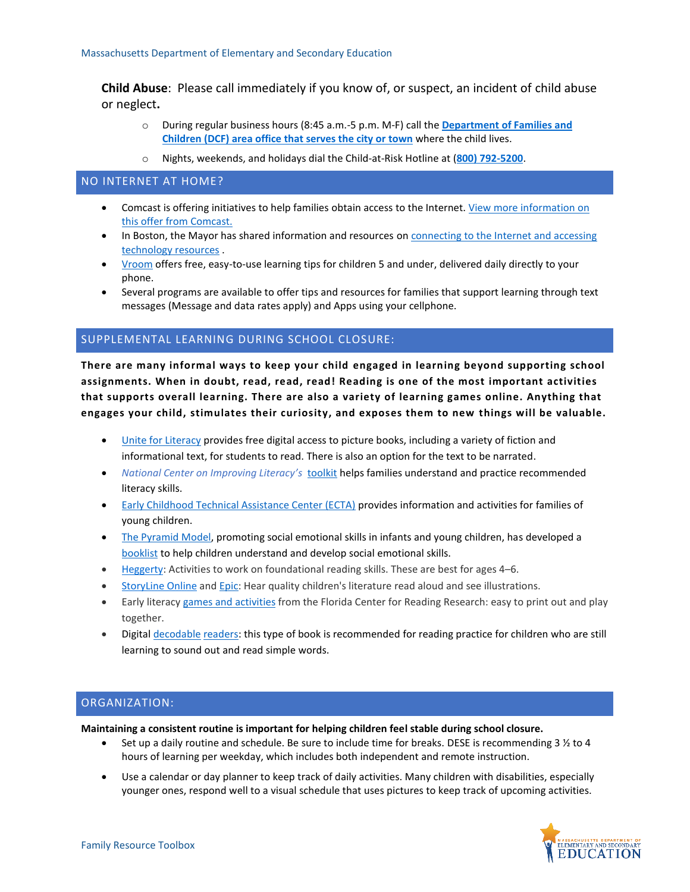**Child Abuse**: Please call immediately if you know of, or suspect, an incident of child abuse or neglect**.**

- o During regular business hours (8:45 a.m.-5 p.m. M-F) call the **[Department](https://www.mass.gov/orgs/massachusetts-department-of-children-families/locations) of Families and [Children](https://www.mass.gov/orgs/massachusetts-department-of-children-families/locations) (DCF) area office that [serves](https://www.mass.gov/orgs/massachusetts-department-of-children-families/locations) the city or town** where the child lives.
- o Nights, weekends, and holidays dial the Child-at-Risk Hotline at (**800) [792-5200](tel:800-792-5200)**.

## NO INTERNET AT HOME?

- Comcast is offering initiatives to help families obtain access to the Internet. [View more information on](https://corporate.comcast.com/covid-19)  [this offer from Comcast.](https://corporate.comcast.com/covid-19)
- In Boston, the Mayor has shared information and resources on **connecting to the Internet and accessing** [technology resources](https://www.boston.gov/news/internet-connectivity-and-technology-supports-during-covid-19-response) .
- [Vroom](https://www.vroom.org/) offers free, easy-to-use learning tips for children 5 and under, delivered daily directly to your phone.
- Several programs are available to offer tips and resources for families that support learning through text messages (Message and data rates apply) and Apps using your cellphone.

## SUPPLEMENTAL LEARNING DURING SCHOOL CLOSURE:

**There are many informal ways to keep your child engaged in learning beyond supporting school assignments. When in doubt, read, read, read! Reading is one of the most important activities that supports overall learning. There are also a variety of learning games online. Anything that engages your child, stimulates their curiosity, and exposes them to new things will be valuable.**

- **.** [Unite for Literacy](https://www.uniteforliteracy.com/) provides free digital access to picture books, including a variety of fiction and informational text, for students to read. There is also an option for the text to be narrated.
- *National Center on Improving Literacy's* [toolkit](https://improvingliteracy.org/kit) helps families understand and practice recommended literacy skills.
- [Early Childhood Technical Assistance Center \(ECTA\)](https://ectacenter.org/topics/disaster/familiesathome.asp) provides information and activities for families of young children.
- [The Pyramid Model,](https://challengingbehavior.cbcs.usf.edu/Pyramid/overview/index.html) promoting social emotional skills in infants and young children, has developed a [booklist](https://challengingbehavior.cbcs.usf.edu/docs/booknook/ChildrensBookList.pdf) to help children understand and develop social emotional skills.
- **[Heggerty:](https://www.heggerty.org/download-assessments-and-resources)** Activities to work on foundational reading skills. These are best for ages 4–6.
- [StoryLine](https://www.storylineonline.net/) Online and [Epic:](https://www.getepic.com/) Hear quality children's literature read aloud and see illustrations.
- Early literacy games and [activities](https://www.fcrr.org/curriculum/SCAindex.shtm) from the Florida Center for Reading Research: easy to print out and play together.
- Digital [decodable](https://www.speld-sa.org.au/services/phonic-books.html) [readers:](https://portal.flyleafpublishing.com/) this type of book is recommended for reading practice for children who are still learning to sound out and read simple words.

## ORGANIZATION:

**Maintaining a consistent routine is important for helping children feel stable during school closure.**

- Set up a daily routine and schedule. Be sure to include time for breaks. DESE is recommending 3 ½ to 4 hours of learning per weekday, which includes both independent and remote instruction.
- Use a calendar or day planner to keep track of daily activities. Many children with disabilities, especially younger ones, respond well to a visual schedule that uses pictures to keep track of upcoming activities.

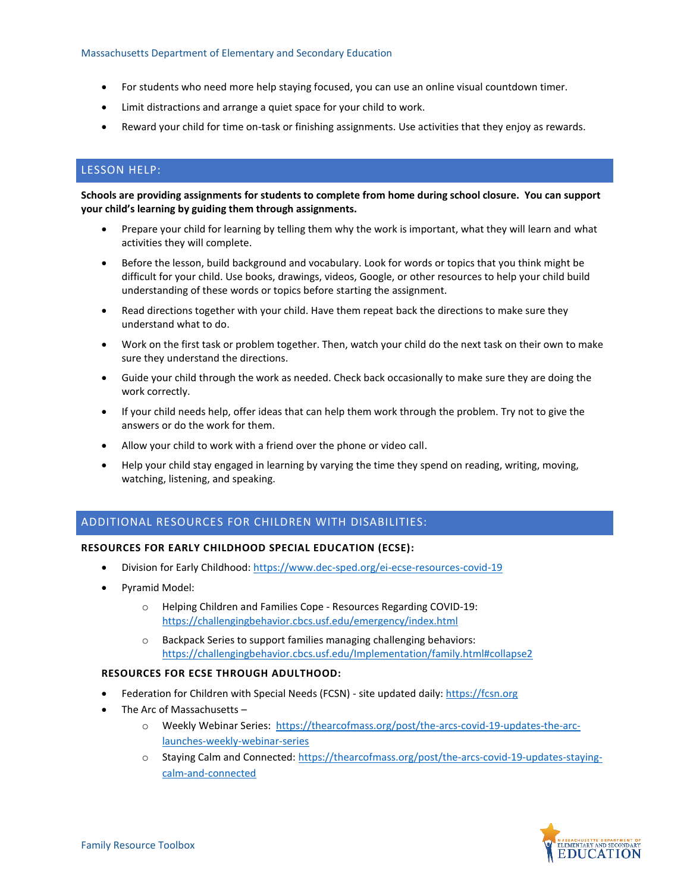- For students who need more help staying focused, you can use an online visual countdown timer.
- Limit distractions and arrange a quiet space for your child to work.
- Reward your child for time on-task or finishing assignments. Use activities that they enjoy as rewards.

# LESSON HELP:

**Schools are providing assignments for students to complete from home during school closure. You can support your child's learning by guiding them through assignments.**

- Prepare your child for learning by telling them why the work is important, what they will learn and what activities they will complete.
- Before the lesson, build background and vocabulary. Look for words or topics that you think might be difficult for your child. Use books, drawings, videos, Google, or other resources to help your child build understanding of these words or topics before starting the assignment.
- Read directions together with your child. Have them repeat back the directions to make sure they understand what to do.
- Work on the first task or problem together. Then, watch your child do the next task on their own to make sure they understand the directions.
- Guide your child through the work as needed. Check back occasionally to make sure they are doing the work correctly.
- If your child needs help, offer ideas that can help them work through the problem. Try not to give the answers or do the work for them.
- Allow your child to work with a friend over the phone or video call.
- Help your child stay engaged in learning by varying the time they spend on reading, writing, moving, watching, listening, and speaking.

## ADDITIONAL RESOURCES FOR CHILDREN WITH DISABILITIES:

### **RESOURCES FOR EARLY CHILDHOOD SPECIAL EDUCATION (ECSE):**

- Division for Early Childhood:<https://www.dec-sped.org/ei-ecse-resources-covid-19>
- Pyramid Model:
	- o Helping Children and Families Cope Resources Regarding COVID-19: <https://challengingbehavior.cbcs.usf.edu/emergency/index.html>
	- o Backpack Series to support families managing challenging behaviors: <https://challengingbehavior.cbcs.usf.edu/Implementation/family.html#collapse2>

### **RESOURCES FOR ECSE THROUGH ADULTHOOD:**

- Federation for Children with Special Needs (FCSN) site updated daily[: https://fcsn.org](https://fcsn.org/)
- The Arc of Massachusetts
	- o Weekly Webinar Series: [https://thearcofmass.org/post/the-arcs-covid-19-updates-the-arc](https://thearcofmass.org/post/the-arcs-covid-19-updates-the-arc-launches-weekly-webinar-series)[launches-weekly-webinar-series](https://thearcofmass.org/post/the-arcs-covid-19-updates-the-arc-launches-weekly-webinar-series)
	- o Staying Calm and Connected: [https://thearcofmass.org/post/the-arcs-covid-19-updates-staying](https://thearcofmass.org/post/the-arcs-covid-19-updates-staying-calm-and-connected)[calm-and-connected](https://thearcofmass.org/post/the-arcs-covid-19-updates-staying-calm-and-connected)

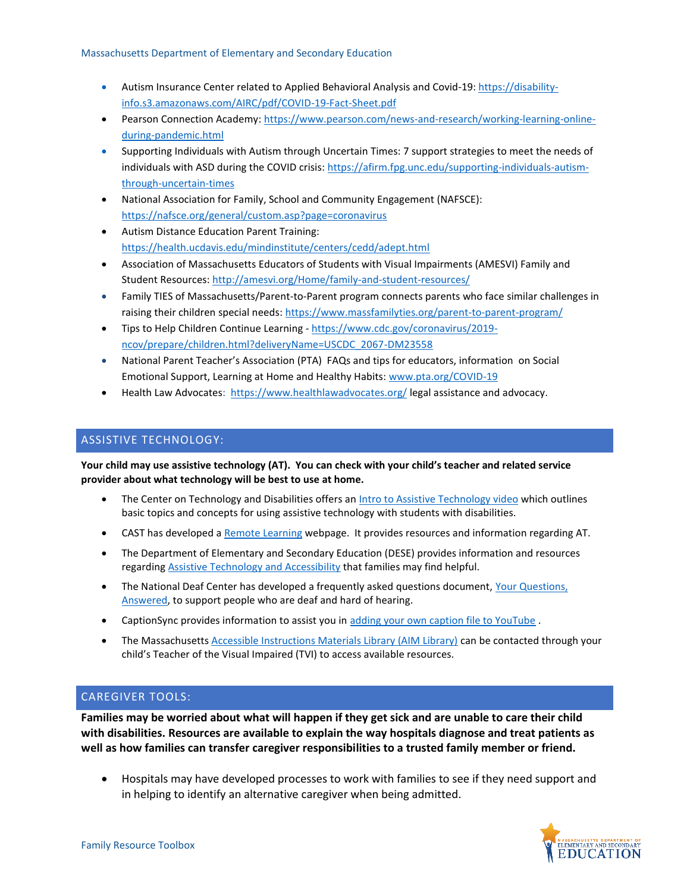- Autism Insurance Center related to Applied Behavioral Analysis and Covid-19: [https://disability](https://disability-info.s3.amazonaws.com/AIRC/pdf/COVID-19-Fact-Sheet.pdf)[info.s3.amazonaws.com/AIRC/pdf/COVID-19-Fact-Sheet.pdf](https://disability-info.s3.amazonaws.com/AIRC/pdf/COVID-19-Fact-Sheet.pdf)
- Pearson Connection Academy[: https://www.pearson.com/news-and-research/working-learning-online](https://www.pearson.com/news-and-research/working-learning-online-during-pandemic.html)[during-pandemic.html](https://www.pearson.com/news-and-research/working-learning-online-during-pandemic.html)
- Supporting Individuals with Autism through Uncertain Times: 7 support strategies to meet the needs of individuals with ASD during the COVID crisis[: https://afirm.fpg.unc.edu/supporting-individuals-autism](https://afirm.fpg.unc.edu/supporting-individuals-autism-through-uncertain-times)[through-uncertain-times](https://afirm.fpg.unc.edu/supporting-individuals-autism-through-uncertain-times)
- National Association for Family, School and Community Engagement (NAFSCE): <https://nafsce.org/general/custom.asp?page=coronavirus>
- Autism Distance Education Parent Training: <https://health.ucdavis.edu/mindinstitute/centers/cedd/adept.html>
- Association of Massachusetts Educators of Students with Visual Impairments (AMESVI) Family and Student Resources[: http://amesvi.org/Home/family-and-student-resources/](http://amesvi.org/Home/family-and-student-resources/)
- Family TIES of Massachusetts/Parent-to-Parent program connects parents who face similar challenges in raising their children special needs:<https://www.massfamilyties.org/parent-to-parent-program/>
- Tips to Help Children Continue Learning [https://www.cdc.gov/coronavirus/2019](https://www.cdc.gov/coronavirus/2019-ncov/prepare/children.html?deliveryName=USCDC_2067-DM23558) [ncov/prepare/children.html?deliveryName=USCDC\\_2067-DM23558](https://www.cdc.gov/coronavirus/2019-ncov/prepare/children.html?deliveryName=USCDC_2067-DM23558)
- National Parent Teacher's Association (PTA) FAQs and tips for educators, information on Social Emotional Support, Learning at Home and Healthy Habits: [www.pta.org/COVID-19](http://www.pta.org/COVID-19)
- Health Law Advocates: <https://www.healthlawadvocates.org/> legal assistance and advocacy.

# ASSISTIVE TECHNOLOGY:

**Your child may use assistive technology (AT). You can check with your child's teacher and related service provider about what technology will be best to use at home.**

- The Center on Technology and Disabilities offers a[n Intro to Assistive Technology video](https://www.ctdinstitute.org/library/2017-10-05/intro-assistive-technology-video?utm_source=Oct+19+2017&utm_campaign=Oct+19&utm_medium=email) which outlines basic topics and concepts for using assistive technology with students with disabilities.
- CAST has developed a [Remote Learning](http://www.cast.org/whats-new/remote-learning-resources.html#.XoXfL_ZFyUm) webpage. It provides resources and information regarding AT.
- The Department of Elementary and Secondary Education (DESE) provides information and resources regarding **Assistive [Technology and Accessibility](http://www.doe.mass.edu/sped/assistive/)** that families may find helpful.
- The National Deaf Center has developed a frequently asked questions document, Your Questions, [Answered,](https://mailchi.mp/nationaldeafcenter/your-questions-answered-auto-captions-tutoring-vrs?e=e1a5b6cef5) to support people who are deaf and hard of hearing.
- CaptionSync provides information to assist you i[n adding your own caption file to YouTube](https://www.automaticsync.com/captionsync/youtube-automatic-captions/) .
- The Massachusetts [Accessible Instructions Materials Library \(AIM Library\)](https://www.aimlibrary.org/) can be contacted through your child's Teacher of the Visual Impaired (TVI) to access available resources.

# CAREGIVER TOOLS:

**Families may be worried about what will happen if they get sick and are unable to care their child with disabilities. Resources are available to explain the way hospitals diagnose and treat patients as well as how families can transfer caregiver responsibilities to a trusted family member or friend.**

 Hospitals may have developed processes to work with families to see if they need support and in helping to identify an alternative caregiver when being admitted.